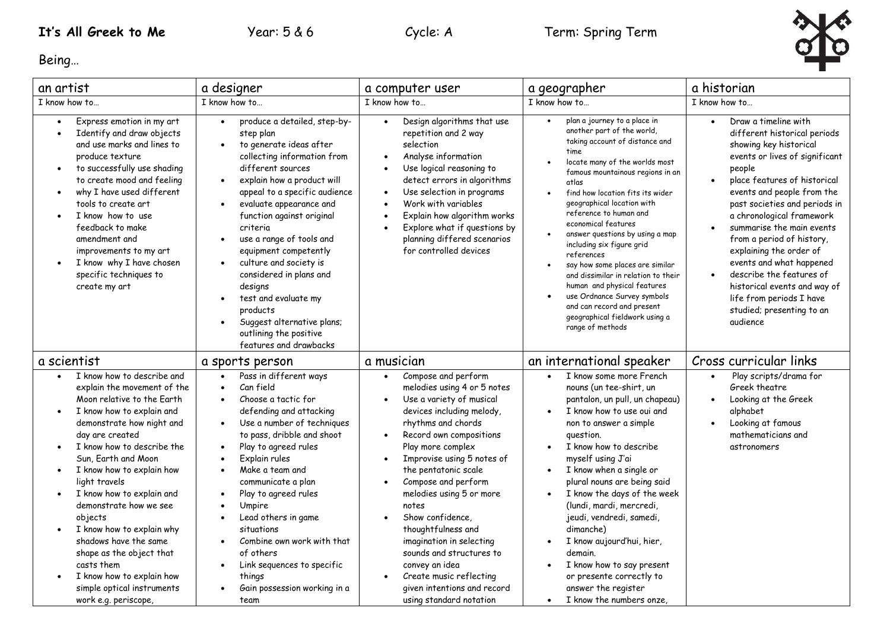

Being…

| an artist                                                                                                                                                                                                                                                                                                                                                                                                                                                                                                                                              | a designer                                                                                                                                                                                                                                                                                                                                                                                                                                                                                                                                                                                        | a computer user                                                                                                                                                                                                                                                                                                                                                                                                                                                                                                                                                                            | a geographer                                                                                                                                                                                                                                                                                                                                                                                                                                                                                                                                                                                                     | a historian                                                                                                                                                                                                                                                                                                                                                                                                                                                                                                                                     |
|--------------------------------------------------------------------------------------------------------------------------------------------------------------------------------------------------------------------------------------------------------------------------------------------------------------------------------------------------------------------------------------------------------------------------------------------------------------------------------------------------------------------------------------------------------|---------------------------------------------------------------------------------------------------------------------------------------------------------------------------------------------------------------------------------------------------------------------------------------------------------------------------------------------------------------------------------------------------------------------------------------------------------------------------------------------------------------------------------------------------------------------------------------------------|--------------------------------------------------------------------------------------------------------------------------------------------------------------------------------------------------------------------------------------------------------------------------------------------------------------------------------------------------------------------------------------------------------------------------------------------------------------------------------------------------------------------------------------------------------------------------------------------|------------------------------------------------------------------------------------------------------------------------------------------------------------------------------------------------------------------------------------------------------------------------------------------------------------------------------------------------------------------------------------------------------------------------------------------------------------------------------------------------------------------------------------------------------------------------------------------------------------------|-------------------------------------------------------------------------------------------------------------------------------------------------------------------------------------------------------------------------------------------------------------------------------------------------------------------------------------------------------------------------------------------------------------------------------------------------------------------------------------------------------------------------------------------------|
| I know how to                                                                                                                                                                                                                                                                                                                                                                                                                                                                                                                                          | I know how to                                                                                                                                                                                                                                                                                                                                                                                                                                                                                                                                                                                     | I know how to                                                                                                                                                                                                                                                                                                                                                                                                                                                                                                                                                                              | I know how to                                                                                                                                                                                                                                                                                                                                                                                                                                                                                                                                                                                                    | I know how to                                                                                                                                                                                                                                                                                                                                                                                                                                                                                                                                   |
| Express emotion in my art<br>$\bullet$<br>Identify and draw objects<br>$\bullet$<br>and use marks and lines to<br>produce texture<br>to successfully use shading<br>$\bullet$<br>to create mood and feeling<br>why I have used different<br>$\bullet$<br>tools to create art<br>I know how to use<br>feedback to make<br>amendment and<br>improvements to my art<br>I know why I have chosen<br>specific techniques to<br>create my art                                                                                                                | produce a detailed, step-by-<br>$\bullet$<br>step plan<br>to generate ideas after<br>collecting information from<br>different sources<br>explain how a product will<br>$\bullet$<br>appeal to a specific audience<br>evaluate appearance and<br>$\bullet$<br>function against original<br>criteria<br>use a range of tools and<br>$\bullet$<br>equipment competently<br>culture and society is<br>$\bullet$<br>considered in plans and<br>designs<br>test and evaluate my<br>$\bullet$<br>products<br>Suggest alternative plans;<br>$\bullet$<br>outlining the positive<br>features and drawbacks | Design algorithms that use<br>$\bullet$<br>repetition and 2 way<br>selection<br>Analyse information<br>$\bullet$<br>Use logical reasoning to<br>$\bullet$<br>detect errors in algorithms<br>Use selection in programs<br>$\bullet$<br>Work with variables<br>$\bullet$<br>Explain how algorithm works<br>$\bullet$<br>Explore what if questions by<br>$\bullet$<br>planning differed scenarios<br>for controlled devices                                                                                                                                                                   | plan a journey to a place in<br>another part of the world,<br>taking account of distance and<br>time<br>locate many of the worlds most<br>famous mountainous regions in an<br>atlas<br>find how location fits its wider<br>geographical location with<br>reference to human and<br>economical features<br>answer questions by using a map<br>including six figure grid<br>references<br>say how some places are similar<br>and dissimilar in relation to their<br>human and physical features<br>use Ordnance Survey symbols<br>and can record and present<br>geographical fieldwork using a<br>range of methods | Draw a timeline with<br>$\bullet$<br>different historical periods<br>showing key historical<br>events or lives of significant<br>people<br>place features of historical<br>$\bullet$<br>events and people from the<br>past societies and periods in<br>a chronological framework<br>summarise the main events<br>from a period of history,<br>explaining the order of<br>events and what happened<br>describe the features of<br>$\bullet$<br>historical events and way of<br>life from periods I have<br>studied; presenting to an<br>audience |
| a scientist                                                                                                                                                                                                                                                                                                                                                                                                                                                                                                                                            | a sports person                                                                                                                                                                                                                                                                                                                                                                                                                                                                                                                                                                                   | a musician                                                                                                                                                                                                                                                                                                                                                                                                                                                                                                                                                                                 | an international speaker                                                                                                                                                                                                                                                                                                                                                                                                                                                                                                                                                                                         | Cross curricular links                                                                                                                                                                                                                                                                                                                                                                                                                                                                                                                          |
| I know how to describe and<br>explain the movement of the<br>Moon relative to the Earth<br>I know how to explain and<br>$\bullet$<br>demonstrate how night and<br>day are created<br>I know how to describe the<br>Sun, Earth and Moon<br>I know how to explain how<br>$\bullet$<br>light travels<br>I know how to explain and<br>demonstrate how we see<br>objects<br>I know how to explain why<br>shadows have the same<br>shape as the object that<br>casts them<br>I know how to explain how<br>simple optical instruments<br>work e.g. periscope, | Pass in different ways<br>Can field<br>$\bullet$<br>Choose a tactic for<br>$\bullet$<br>defending and attacking<br>Use a number of techniques<br>to pass, dribble and shoot<br>Play to agreed rules<br>$\bullet$<br>Explain rules<br>Make a team and<br>$\bullet$<br>communicate a plan<br>Play to agreed rules<br>$\bullet$<br>Umpire<br>$\bullet$<br>Lead others in game<br>$\bullet$<br>situations<br>Combine own work with that<br>$\bullet$<br>of others<br>Link sequences to specific<br>$\bullet$<br>things<br>Gain possession working in a<br>team                                        | Compose and perform<br>$\bullet$<br>melodies using 4 or 5 notes<br>Use a variety of musical<br>$\bullet$<br>devices including melody,<br>rhythms and chords<br>Record own compositions<br>$\bullet$<br>Play more complex<br>Improvise using 5 notes of<br>$\bullet$<br>the pentatonic scale<br>Compose and perform<br>$\bullet$<br>melodies using 5 or more<br>notes<br>Show confidence,<br>thoughtfulness and<br>imagination in selecting<br>sounds and structures to<br>convey an idea<br>Create music reflecting<br>$\bullet$<br>given intentions and record<br>using standard notation | I know some more French<br>$\bullet$<br>nouns (un tee-shirt, un<br>pantalon, un pull, un chapeau)<br>I know how to use oui and<br>non to answer a simple<br>question.<br>I know how to describe<br>myself using J'ai<br>I know when a single or<br>plural nouns are being said<br>I know the days of the week<br>(lundi, mardi, mercredi,<br>jeudi, vendredi, samedi,<br>dimanche)<br>I know aujourd'hui, hier,<br>demain.<br>I know how to say present<br>or presente correctly to<br>answer the register<br>I know the numbers onze<br>$\bullet$                                                               | Play scripts/drama for<br>$\bullet$<br>Greek theatre<br>Looking at the Greek<br>$\bullet$<br>alphabet<br>Looking at famous<br>$\bullet$<br>mathematicians and<br>astronomers                                                                                                                                                                                                                                                                                                                                                                    |